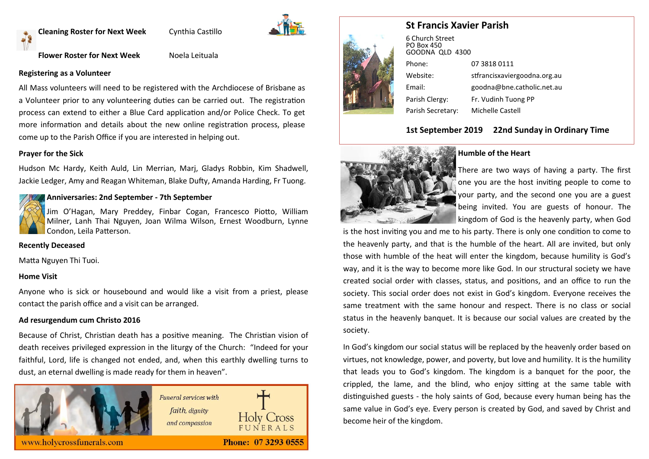**Cleaning Roster for Next Week Cynthia Castillo** 



#### **Flower Roster for Next Week** Noela Leituala

#### **Registering as a Volunteer**

All Mass volunteers will need to be registered with the Archdiocese of Brisbane as a Volunteer prior to any volunteering duties can be carried out. The registration process can extend to either a Blue Card application and/or Police Check. To get more information and details about the new online registration process, please come up to the Parish Office if you are interested in helping out.

#### **Prayer for the Sick**

Hudson Mc Hardy, Keith Auld, Lin Merrian, Marj, Gladys Robbin, Kim Shadwell, Jackie Ledger, Amy and Reagan Whiteman, Blake Dufty, Amanda Harding, Fr Tuong.

#### **Anniversaries: 2nd September - 7th September**

Jim O'Hagan, Mary Preddey, Finbar Cogan, Francesco Piotto, William Milner, Lanh Thai Nguyen, Joan Wilma Wilson, Ernest Woodburn, Lynne Condon, Leila Patterson.

### **Recently Deceased**

Matta Nguyen Thi Tuoi.

#### **Home Visit**

Anyone who is sick or housebound and would like a visit from a priest, please contact the parish office and a visit can be arranged.

#### **Ad resurgendum cum Christo 2016**

Because of Christ, Christian death has a positive meaning. The Christian vision of death receives privileged expression in the liturgy of the Church: "Indeed for your faithful, Lord, life is changed not ended, and, when this earthly dwelling turns to dust, an eternal dwelling is made ready for them in heaven".





## **St Francis Xavier Parish**

| 6 Church Street<br><b>PO Box 450</b><br>GOODNA QLD 4300 |                              |
|---------------------------------------------------------|------------------------------|
| Phone:                                                  | 07 3818 0111                 |
| Website:                                                | stfrancisxaviergoodna.org.au |
| Email:                                                  | goodna@bne.catholic.net.au   |
| Parish Clergy:                                          | Fr. Vudinh Tuong PP          |
| Parish Secretary:                                       | <b>Michelle Castell</b>      |

#### **1st September 2019 22nd Sunday in Ordinary Time**



#### **Humble of the Heart**

There are two ways of having a party. The first one you are the host inviting people to come to your party, and the second one you are a guest being invited. You are guests of honour. The kingdom of God is the heavenly party, when God

is the host inviting you and me to his party. There is only one condition to come to the heavenly party, and that is the humble of the heart. All are invited, but only those with humble of the heat will enter the kingdom, because humility is God's way, and it is the way to become more like God. In our structural society we have created social order with classes, status, and positions, and an office to run the society. This social order does not exist in God's kingdom. Everyone receives the same treatment with the same honour and respect. There is no class or social status in the heavenly banquet. It is because our social values are created by the society.

In God's kingdom our social status will be replaced by the heavenly order based on virtues, not knowledge, power, and poverty, but love and humility. It is the humility that leads you to God's kingdom. The kingdom is a banquet for the poor, the crippled, the lame, and the blind, who enjoy sitting at the same table with distinguished guests - the holy saints of God, because every human being has the same value in God's eye. Every person is created by God, and saved by Christ and become heir of the kingdom.